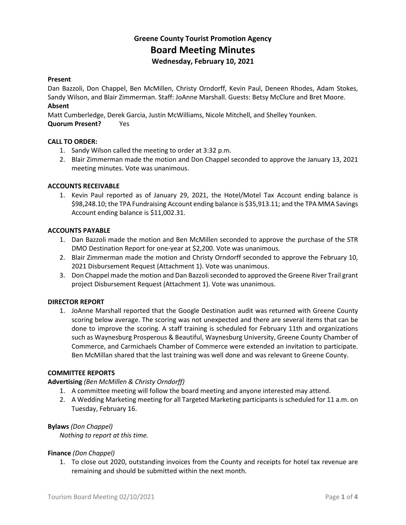# **Greene County Tourist Promotion Agency Board Meeting Minutes Wednesday, February 10, 2021**

#### **Present**

Dan Bazzoli, Don Chappel, Ben McMillen, Christy Orndorff, Kevin Paul, Deneen Rhodes, Adam Stokes, Sandy Wilson, and Blair Zimmerman. Staff: JoAnne Marshall. Guests: Betsy McClure and Bret Moore. **Absent**

Matt Cumberledge, Derek Garcia, Justin McWilliams, Nicole Mitchell, and Shelley Younken. **Quorum Present?** Yes

#### **CALL TO ORDER:**

- 1. Sandy Wilson called the meeting to order at 3:32 p.m.
- 2. Blair Zimmerman made the motion and Don Chappel seconded to approve the January 13, 2021 meeting minutes. Vote was unanimous.

#### **ACCOUNTS RECEIVABLE**

1. Kevin Paul reported as of January 29, 2021, the Hotel/Motel Tax Account ending balance is \$98,248.10; the TPA Fundraising Account ending balance is \$35,913.11; and the TPA MMA Savings Account ending balance is \$11,002.31.

#### **ACCOUNTS PAYABLE**

- 1. Dan Bazzoli made the motion and Ben McMillen seconded to approve the purchase of the STR DMO Destination Report for one-year at \$2,200. Vote was unanimous.
- 2. Blair Zimmerman made the motion and Christy Orndorff seconded to approve the February 10, 2021 Disbursement Request (Attachment 1). Vote was unanimous.
- 3. Don Chappel made the motion and Dan Bazzoli seconded to approved the Greene River Trail grant project Disbursement Request (Attachment 1). Vote was unanimous.

#### **DIRECTOR REPORT**

1. JoAnne Marshall reported that the Google Destination audit was returned with Greene County scoring below average. The scoring was not unexpected and there are several items that can be done to improve the scoring. A staff training is scheduled for February 11th and organizations such as Waynesburg Prosperous & Beautiful, Waynesburg University, Greene County Chamber of Commerce, and Carmichaels Chamber of Commerce were extended an invitation to participate. Ben McMillan shared that the last training was well done and was relevant to Greene County.

#### **COMMITTEE REPORTS**

## **Advertising** *(Ben McMillen & Christy Orndorff)*

- 1. A committee meeting will follow the board meeting and anyone interested may attend.
- 2. A Wedding Marketing meeting for all Targeted Marketing participants is scheduled for 11 a.m. on Tuesday, February 16.

#### **Bylaws** *(Don Chappel)*

*Nothing to report at this time.*

#### **Finance** *(Don Chappel)*

1. To close out 2020, outstanding invoices from the County and receipts for hotel tax revenue are remaining and should be submitted within the next month.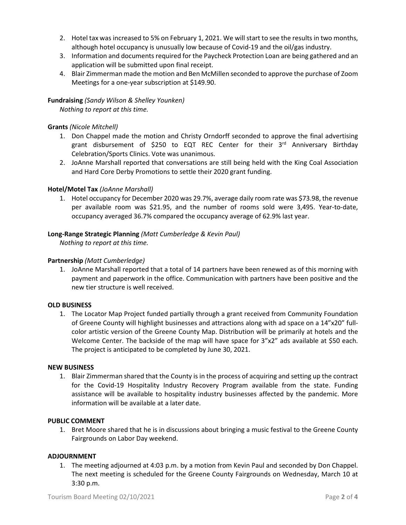- 2. Hotel tax was increased to 5% on February 1, 2021. We will start to see the results in two months, although hotel occupancy is unusually low because of Covid-19 and the oil/gas industry.
- 3. Information and documents required for the Paycheck Protection Loan are being gathered and an application will be submitted upon final receipt.
- 4. Blair Zimmerman made the motion and Ben McMillen seconded to approve the purchase of Zoom Meetings for a one-year subscription at \$149.90.

# **Fundraising** *(Sandy Wilson & Shelley Younken) Nothing to report at this time.*

# **Grants** *(Nicole Mitchell)*

- 1. Don Chappel made the motion and Christy Orndorff seconded to approve the final advertising grant disbursement of \$250 to EQT REC Center for their 3rd Anniversary Birthday Celebration/Sports Clinics. Vote was unanimous.
- 2. JoAnne Marshall reported that conversations are still being held with the King Coal Association and Hard Core Derby Promotions to settle their 2020 grant funding.

# **Hotel/Motel Tax** *(JoAnne Marshall)*

1. Hotel occupancy for December 2020 was 29.7%, average daily room rate was \$73.98, the revenue per available room was \$21.95, and the number of rooms sold were 3,495. Year-to-date, occupancy averaged 36.7% compared the occupancy average of 62.9% last year.

## **Long-Range Strategic Planning** *(Matt Cumberledge & Kevin Paul)*

*Nothing to report at this time.*

# **Partnership** *(Matt Cumberledge)*

1. JoAnne Marshall reported that a total of 14 partners have been renewed as of this morning with payment and paperwork in the office. Communication with partners have been positive and the new tier structure is well received.

## **OLD BUSINESS**

1. The Locator Map Project funded partially through a grant received from Community Foundation of Greene County will highlight businesses and attractions along with ad space on a 14"x20" fullcolor artistic version of the Greene County Map. Distribution will be primarily at hotels and the Welcome Center. The backside of the map will have space for 3"x2" ads available at \$50 each. The project is anticipated to be completed by June 30, 2021.

## **NEW BUSINESS**

1. Blair Zimmerman shared that the County is in the process of acquiring and setting up the contract for the Covid-19 Hospitality Industry Recovery Program available from the state. Funding assistance will be available to hospitality industry businesses affected by the pandemic. More information will be available at a later date.

## **PUBLIC COMMENT**

1. Bret Moore shared that he is in discussions about bringing a music festival to the Greene County Fairgrounds on Labor Day weekend.

## **ADJOURNMENT**

1. The meeting adjourned at 4:03 p.m. by a motion from Kevin Paul and seconded by Don Chappel. The next meeting is scheduled for the Greene County Fairgrounds on Wednesday, March 10 at 3:30 p.m.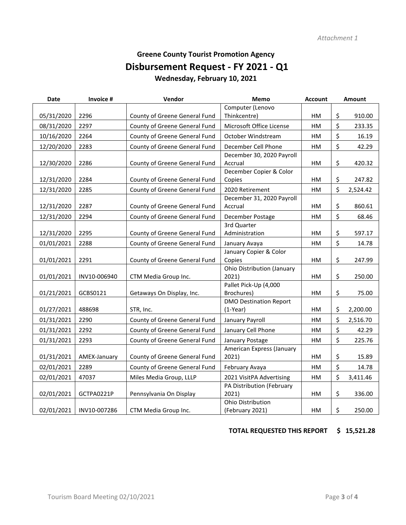# **Greene County Tourist Promotion Agency Disbursement Request - FY 2021 - Q1 Wednesday, February 10, 2021**

| <b>Date</b> | Invoice #    | Vendor                        | Memo                              | Amount<br><b>Account</b> |    |          |
|-------------|--------------|-------------------------------|-----------------------------------|--------------------------|----|----------|
|             |              |                               | Computer (Lenovo                  |                          |    |          |
| 05/31/2020  | 2296         | County of Greene General Fund | Thinkcentre)                      | HM                       | \$ | 910.00   |
| 08/31/2020  | 2297         | County of Greene General Fund | Microsoft Office License          | HM                       | \$ | 233.35   |
| 10/16/2020  | 2264         | County of Greene General Fund | October Windstream                | HM                       | \$ | 16.19    |
| 12/20/2020  | 2283         | County of Greene General Fund | December Cell Phone               | HM                       | \$ | 42.29    |
|             |              |                               | December 30, 2020 Payroll         |                          |    |          |
| 12/30/2020  | 2286         | County of Greene General Fund | Accrual                           | HM                       | \$ | 420.32   |
|             |              |                               | December Copier & Color           |                          |    |          |
| 12/31/2020  | 2284         | County of Greene General Fund | Copies                            | HM                       | \$ | 247.82   |
| 12/31/2020  | 2285         | County of Greene General Fund | 2020 Retirement                   | HM                       | \$ | 2,524.42 |
|             |              |                               | December 31, 2020 Payroll         |                          |    |          |
| 12/31/2020  | 2287         | County of Greene General Fund | Accrual                           | HM                       | \$ | 860.61   |
| 12/31/2020  | 2294         | County of Greene General Fund | December Postage                  | HM                       | \$ | 68.46    |
|             |              |                               | 3rd Quarter                       |                          |    |          |
| 12/31/2020  | 2295         | County of Greene General Fund | Administration                    | HM                       | \$ | 597.17   |
| 01/01/2021  | 2288         | County of Greene General Fund | January Avaya                     | HM                       | \$ | 14.78    |
|             |              |                               | January Copier & Color            |                          |    |          |
| 01/01/2021  | 2291         | County of Greene General Fund | Copies                            | HM                       | \$ | 247.99   |
|             |              |                               | <b>Ohio Distribution (January</b> |                          |    |          |
| 01/01/2021  | INV10-006940 | CTM Media Group Inc.          | 2021)                             | HM                       | \$ | 250.00   |
|             |              |                               | Pallet Pick-Up (4,000             |                          |    |          |
| 01/21/2021  | GCBS0121     | Getaways On Display, Inc.     | Brochures)                        | HM                       | \$ | 75.00    |
|             |              |                               | <b>DMO Destination Report</b>     |                          |    |          |
| 01/27/2021  | 488698       | STR, Inc.                     | $(1-Year)$                        | HM                       | \$ | 2,200.00 |
| 01/31/2021  | 2290         | County of Greene General Fund | January Payroll                   | HM                       | \$ | 2,516.70 |
| 01/31/2021  | 2292         | County of Greene General Fund | January Cell Phone                | HM                       | \$ | 42.29    |
| 01/31/2021  | 2293         | County of Greene General Fund | January Postage                   | HM                       | \$ | 225.76   |
|             |              |                               | American Express (January         |                          |    |          |
| 01/31/2021  | AMEX-January | County of Greene General Fund | 2021)                             | HM                       | \$ | 15.89    |
| 02/01/2021  | 2289         | County of Greene General Fund | February Avaya                    | HM                       | \$ | 14.78    |
| 02/01/2021  | 47037        | Miles Media Group, LLLP       | 2021 VisitPA Advertising          | HM                       | \$ | 3,411.46 |
|             |              |                               | PA Distribution (February         |                          |    |          |
| 02/01/2021  | GCTPA0221P   | Pennsylvania On Display       | 2021)                             | HM                       | \$ | 336.00   |
|             |              |                               | Ohio Distribution                 |                          |    |          |
| 02/01/2021  | INV10-007286 | CTM Media Group Inc.          | (February 2021)                   | HM                       | \$ | 250.00   |

# **TOTAL REQUESTED THIS REPORT \$ 15,521.28**